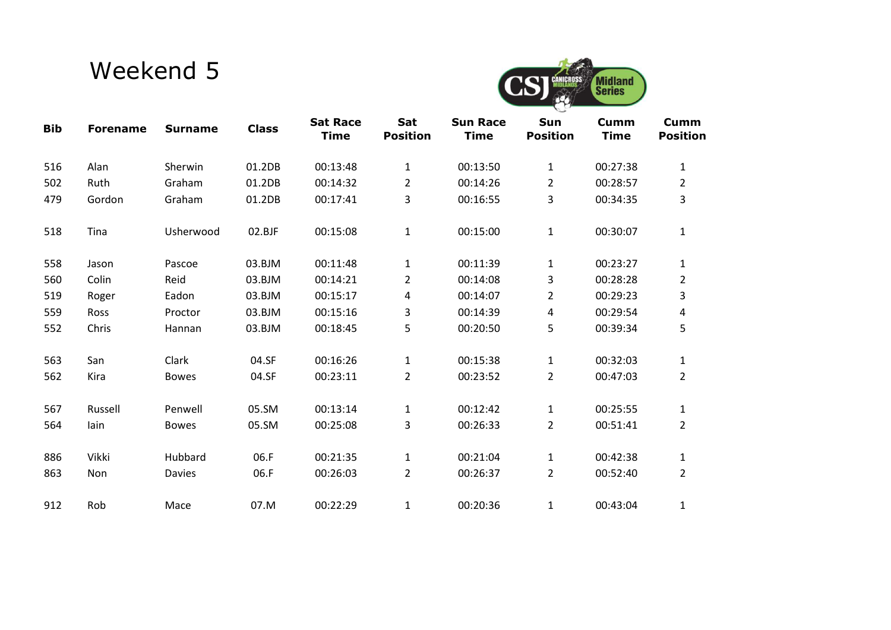## Weekend 5



| <b>Bib</b> | <b>Forename</b> | <b>Surname</b> | <b>Class</b> | <b>Sat Race</b><br><b>Time</b> | Sat<br><b>Position</b> | <b>Sun Race</b><br><b>Time</b> | Sun<br><b>Position</b> | Cumm<br><b>Time</b> | <b>Cumm</b><br><b>Position</b> |
|------------|-----------------|----------------|--------------|--------------------------------|------------------------|--------------------------------|------------------------|---------------------|--------------------------------|
| 516        | Alan            | Sherwin        | 01.2DB       | 00:13:48                       | $\mathbf 1$            | 00:13:50                       | $\mathbf{1}$           | 00:27:38            | 1                              |
| 502        | Ruth            | Graham         | 01.2DB       | 00:14:32                       | $\overline{2}$         | 00:14:26                       | $\overline{2}$         | 00:28:57            | $\overline{2}$                 |
| 479        | Gordon          | Graham         | 01.2DB       | 00:17:41                       | 3                      | 00:16:55                       | 3                      | 00:34:35            | 3                              |
| 518        | Tina            | Usherwood      | 02.BJF       | 00:15:08                       | $\mathbf{1}$           | 00:15:00                       | $\mathbf{1}$           | 00:30:07            | $\mathbf{1}$                   |
| 558        | Jason           | Pascoe         | 03.BJM       | 00:11:48                       | $\mathbf 1$            | 00:11:39                       | $\mathbf{1}$           | 00:23:27            | $\mathbf{1}$                   |
| 560        | Colin           | Reid           | 03.BJM       | 00:14:21                       | $\overline{2}$         | 00:14:08                       | 3                      | 00:28:28            | $\overline{2}$                 |
| 519        | Roger           | Eadon          | 03.BJM       | 00:15:17                       | 4                      | 00:14:07                       | $\overline{2}$         | 00:29:23            | 3                              |
| 559        | Ross            | Proctor        | 03.BJM       | 00:15:16                       | 3                      | 00:14:39                       | 4                      | 00:29:54            | 4                              |
| 552        | Chris           | Hannan         | 03.BJM       | 00:18:45                       | 5                      | 00:20:50                       | 5                      | 00:39:34            | 5                              |
| 563        | San             | Clark          | 04.SF        | 00:16:26                       | $\mathbf 1$            | 00:15:38                       | $\mathbf{1}$           | 00:32:03            | $\mathbf{1}$                   |
| 562        | Kira            | <b>Bowes</b>   | 04.SF        | 00:23:11                       | $\overline{2}$         | 00:23:52                       | $\overline{2}$         | 00:47:03            | $\overline{2}$                 |
| 567        | Russell         | Penwell        | 05.SM        | 00:13:14                       | $\mathbf{1}$           | 00:12:42                       | $\mathbf{1}$           | 00:25:55            | $\mathbf{1}$                   |
| 564        | lain            | <b>Bowes</b>   | 05.SM        | 00:25:08                       | 3                      | 00:26:33                       | $\overline{2}$         | 00:51:41            | $\overline{2}$                 |
| 886        | Vikki           | Hubbard        | 06.F         | 00:21:35                       | $\mathbf{1}$           | 00:21:04                       | 1                      | 00:42:38            | 1                              |
| 863        | Non             | Davies         | 06.F         | 00:26:03                       | $\overline{2}$         | 00:26:37                       | $\overline{2}$         | 00:52:40            | $\overline{2}$                 |
| 912        | Rob             | Mace           | 07.M         | 00:22:29                       | $\mathbf{1}$           | 00:20:36                       | 1                      | 00:43:04            | 1                              |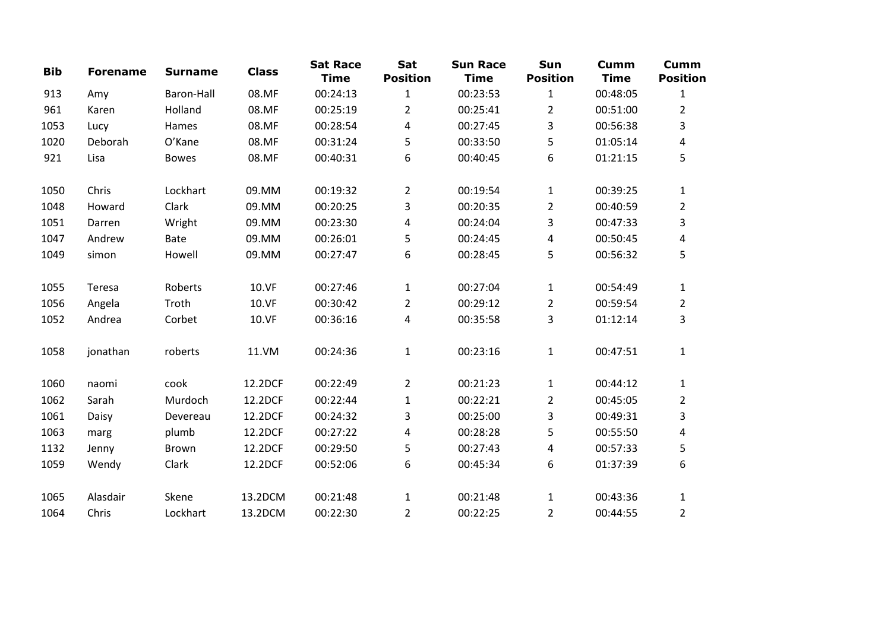| <b>Bib</b> | <b>Forename</b> | <b>Surname</b> | <b>Class</b> | <b>Sat Race</b><br><b>Time</b> | Sat<br><b>Position</b> | <b>Sun Race</b><br><b>Time</b> | Sun<br><b>Position</b> | <b>Cumm</b><br><b>Time</b> | <b>Cumm</b><br><b>Position</b> |
|------------|-----------------|----------------|--------------|--------------------------------|------------------------|--------------------------------|------------------------|----------------------------|--------------------------------|
| 913        | Amy             | Baron-Hall     | 08.MF        | 00:24:13                       | $\mathbf{1}$           | 00:23:53                       | $\mathbf{1}$           | 00:48:05                   | $\mathbf{1}$                   |
| 961        | Karen           | Holland        | 08.MF        | 00:25:19                       | $\overline{2}$         | 00:25:41                       | $\overline{2}$         | 00:51:00                   | $\overline{2}$                 |
| 1053       | Lucy            | Hames          | 08.MF        | 00:28:54                       | 4                      | 00:27:45                       | 3                      | 00:56:38                   | 3                              |
| 1020       | Deborah         | O'Kane         | 08.MF        | 00:31:24                       | 5                      | 00:33:50                       | 5                      | 01:05:14                   | 4                              |
| 921        | Lisa            | <b>Bowes</b>   | 08.MF        | 00:40:31                       | 6                      | 00:40:45                       | 6                      | 01:21:15                   | 5                              |
| 1050       | Chris           | Lockhart       | 09.MM        | 00:19:32                       | $\overline{2}$         | 00:19:54                       | $\mathbf{1}$           | 00:39:25                   | $\mathbf{1}$                   |
| 1048       | Howard          | Clark          | 09.MM        | 00:20:25                       | 3                      | 00:20:35                       | $\overline{2}$         | 00:40:59                   | $\overline{2}$                 |
| 1051       | Darren          | Wright         | 09.MM        | 00:23:30                       | 4                      | 00:24:04                       | 3                      | 00:47:33                   | 3                              |
| 1047       | Andrew          | Bate           | 09.MM        | 00:26:01                       | 5                      | 00:24:45                       | 4                      | 00:50:45                   | 4                              |
| 1049       | simon           | Howell         | 09.MM        | 00:27:47                       | 6                      | 00:28:45                       | 5                      | 00:56:32                   | 5                              |
| 1055       | Teresa          | Roberts        | 10.VF        | 00:27:46                       | $\mathbf{1}$           | 00:27:04                       | $\mathbf{1}$           | 00:54:49                   | $\mathbf{1}$                   |
| 1056       | Angela          | Troth          | 10.VF        | 00:30:42                       | $\overline{2}$         | 00:29:12                       | $\overline{2}$         | 00:59:54                   | $\overline{2}$                 |
| 1052       | Andrea          | Corbet         | 10.VF        | 00:36:16                       | 4                      | 00:35:58                       | 3                      | 01:12:14                   | 3                              |
| 1058       | jonathan        | roberts        | 11.VM        | 00:24:36                       | $\mathbf{1}$           | 00:23:16                       | $\mathbf 1$            | 00:47:51                   | $\mathbf{1}$                   |
| 1060       | naomi           | cook           | 12.2DCF      | 00:22:49                       | $\overline{2}$         | 00:21:23                       | $\mathbf{1}$           | 00:44:12                   | $\mathbf{1}$                   |
| 1062       | Sarah           | Murdoch        | 12.2DCF      | 00:22:44                       | $\mathbf{1}$           | 00:22:21                       | $\overline{2}$         | 00:45:05                   | $\overline{2}$                 |
| 1061       | Daisy           | Devereau       | 12.2DCF      | 00:24:32                       | 3                      | 00:25:00                       | 3                      | 00:49:31                   | 3                              |
| 1063       | marg            | plumb          | 12.2DCF      | 00:27:22                       | 4                      | 00:28:28                       | 5                      | 00:55:50                   | 4                              |
| 1132       | Jenny           | <b>Brown</b>   | 12.2DCF      | 00:29:50                       | 5                      | 00:27:43                       | 4                      | 00:57:33                   | 5                              |
| 1059       | Wendy           | Clark          | 12.2DCF      | 00:52:06                       | 6                      | 00:45:34                       | 6                      | 01:37:39                   | 6                              |
| 1065       | Alasdair        | Skene          | 13.2DCM      | 00:21:48                       | $\mathbf{1}$           | 00:21:48                       | 1                      | 00:43:36                   | $\mathbf{1}$                   |
| 1064       | Chris           | Lockhart       | 13.2DCM      | 00:22:30                       | $\overline{2}$         | 00:22:25                       | $\overline{2}$         | 00:44:55                   | $\overline{2}$                 |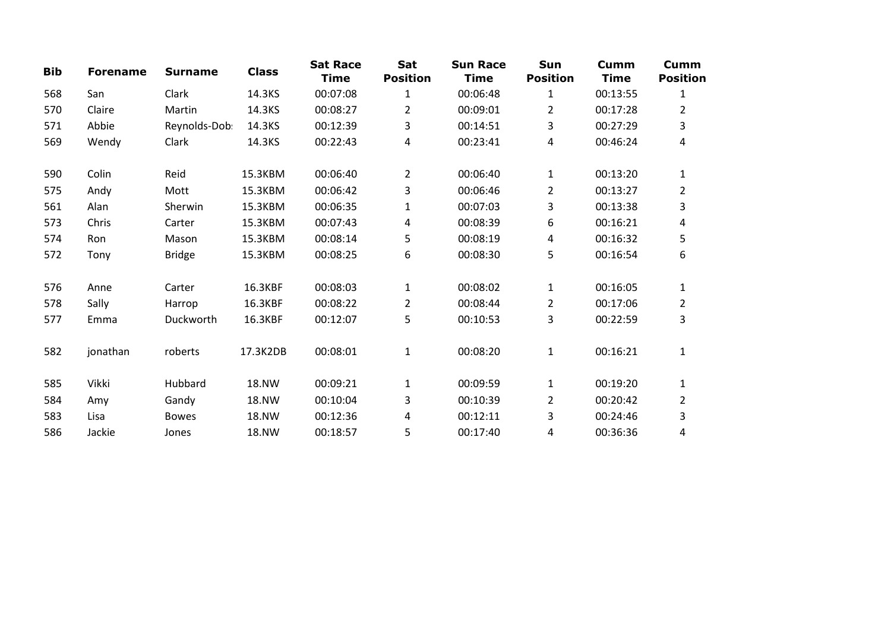| <b>Bib</b> | <b>Forename</b> | <b>Surname</b> | <b>Class</b> | <b>Sat Race</b><br><b>Time</b> | Sat<br><b>Position</b> | <b>Sun Race</b><br><b>Time</b> | Sun<br><b>Position</b> | <b>Cumm</b><br><b>Time</b> | Cumm<br><b>Position</b> |
|------------|-----------------|----------------|--------------|--------------------------------|------------------------|--------------------------------|------------------------|----------------------------|-------------------------|
| 568        | San             | Clark          | 14.3KS       | 00:07:08                       | $\mathbf{1}$           | 00:06:48                       | 1                      | 00:13:55                   | 1                       |
| 570        | Claire          | Martin         | 14.3KS       | 00:08:27                       | $\overline{2}$         | 00:09:01                       | $\overline{2}$         | 00:17:28                   | 2                       |
| 571        | Abbie           | Reynolds-Dob:  | 14.3KS       | 00:12:39                       | 3                      | 00:14:51                       | 3                      | 00:27:29                   | 3                       |
| 569        | Wendy           | Clark          | 14.3KS       | 00:22:43                       | 4                      | 00:23:41                       | 4                      | 00:46:24                   | 4                       |
| 590        | Colin           | Reid           | 15.3KBM      | 00:06:40                       | $\overline{2}$         | 00:06:40                       | $\mathbf{1}$           | 00:13:20                   | $\mathbf{1}$            |
| 575        | Andy            | Mott           | 15.3KBM      | 00:06:42                       | 3                      | 00:06:46                       | $\overline{2}$         | 00:13:27                   | $\overline{2}$          |
| 561        | Alan            | Sherwin        | 15.3KBM      | 00:06:35                       | $\mathbf{1}$           | 00:07:03                       | 3                      | 00:13:38                   | 3                       |
| 573        | Chris           | Carter         | 15.3KBM      | 00:07:43                       | 4                      | 00:08:39                       | 6                      | 00:16:21                   | 4                       |
| 574        | Ron             | Mason          | 15.3KBM      | 00:08:14                       | 5                      | 00:08:19                       | 4                      | 00:16:32                   | 5                       |
| 572        | Tony            | <b>Bridge</b>  | 15.3KBM      | 00:08:25                       | 6                      | 00:08:30                       | 5                      | 00:16:54                   | 6                       |
| 576        | Anne            | Carter         | 16.3KBF      | 00:08:03                       | $\mathbf{1}$           | 00:08:02                       | $\mathbf{1}$           | 00:16:05                   | $\mathbf{1}$            |
| 578        | Sally           | Harrop         | 16.3KBF      | 00:08:22                       | $\overline{2}$         | 00:08:44                       | $\overline{2}$         | 00:17:06                   | $\overline{\mathbf{c}}$ |
| 577        | Emma            | Duckworth      | 16.3KBF      | 00:12:07                       | 5                      | 00:10:53                       | 3                      | 00:22:59                   | 3                       |
| 582        | jonathan        | roberts        | 17.3K2DB     | 00:08:01                       | $\mathbf{1}$           | 00:08:20                       | $\mathbf{1}$           | 00:16:21                   | $\mathbf{1}$            |
| 585        | Vikki           | Hubbard        | <b>18.NW</b> | 00:09:21                       | $\mathbf{1}$           | 00:09:59                       | 1                      | 00:19:20                   | $\mathbf{1}$            |
| 584        | Amy             | Gandy          | 18.NW        | 00:10:04                       | 3                      | 00:10:39                       | $\overline{2}$         | 00:20:42                   | 2                       |
| 583        | Lisa            | <b>Bowes</b>   | 18.NW        | 00:12:36                       | 4                      | 00:12:11                       | 3                      | 00:24:46                   | 3                       |
| 586        | Jackie          | Jones          | 18.NW        | 00:18:57                       | 5                      | 00:17:40                       | 4                      | 00:36:36                   | 4                       |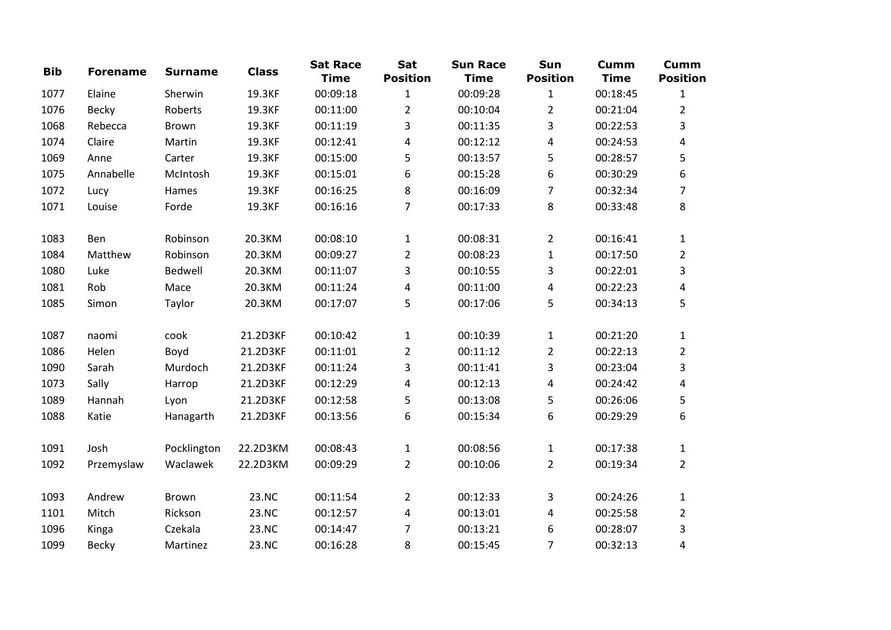| <b>Bib</b> | <b>Forename</b> | <b>Surname</b> | <b>Class</b> | <b>Sat Race</b><br><b>Time</b> | Sat<br><b>Position</b> | <b>Sun Race</b><br><b>Time</b> | Sun<br><b>Position</b> | <b>Cumm</b><br><b>Time</b> | <b>Cumm</b><br><b>Position</b> |
|------------|-----------------|----------------|--------------|--------------------------------|------------------------|--------------------------------|------------------------|----------------------------|--------------------------------|
| 1077       | Elaine          | Sherwin        | 19.3KF       | 00:09:18                       | $\mathbf{1}$           | 00:09:28                       | $\mathbf{1}$           | 00:18:45                   | 1                              |
| 1076       | Becky           | Roberts        | 19.3KF       | 00:11:00                       | $\overline{2}$         | 00:10:04                       | $\overline{2}$         | 00:21:04                   | $\overline{2}$                 |
| 1068       | Rebecca         | <b>Brown</b>   | 19.3KF       | 00:11:19                       | 3                      | 00:11:35                       | 3                      | 00:22:53                   | 3                              |
| 1074       | Claire          | Martin         | 19.3KF       | 00:12:41                       | 4                      | 00:12:12                       | 4                      | 00:24:53                   | 4                              |
| 1069       | Anne            | Carter         | 19.3KF       | 00:15:00                       | 5                      | 00:13:57                       | 5                      | 00:28:57                   | 5                              |
| 1075       | Annabelle       | McIntosh       | 19.3KF       | 00:15:01                       | 6                      | 00:15:28                       | 6                      | 00:30:29                   | 6                              |
| 1072       | Lucy            | Hames          | 19.3KF       | 00:16:25                       | 8                      | 00:16:09                       | $\overline{7}$         | 00:32:34                   | 7                              |
| 1071       | Louise          | Forde          | 19.3KF       | 00:16:16                       | $\overline{7}$         | 00:17:33                       | 8                      | 00:33:48                   | 8                              |
| 1083       | Ben             | Robinson       | 20.3KM       | 00:08:10                       | $\mathbf{1}$           | 00:08:31                       | $\overline{2}$         | 00:16:41                   | $\mathbf{1}$                   |
| 1084       | Matthew         | Robinson       | 20.3KM       | 00:09:27                       | $\overline{2}$         | 00:08:23                       | $\mathbf{1}$           | 00:17:50                   | $\overline{2}$                 |
| 1080       | Luke            | Bedwell        | 20.3KM       | 00:11:07                       | 3                      | 00:10:55                       | 3                      | 00:22:01                   | 3                              |
| 1081       | Rob             | Mace           | 20.3KM       | 00:11:24                       | 4                      | 00:11:00                       | 4                      | 00:22:23                   | 4                              |
| 1085       | Simon           | Taylor         | 20.3KM       | 00:17:07                       | 5                      | 00:17:06                       | 5                      | 00:34:13                   | 5                              |
| 1087       | naomi           | cook           | 21.2D3KF     | 00:10:42                       | $\mathbf{1}$           | 00:10:39                       | $\mathbf{1}$           | 00:21:20                   | $\mathbf{1}$                   |
| 1086       | Helen           | Boyd           | 21.2D3KF     | 00:11:01                       | $\overline{2}$         | 00:11:12                       | $\overline{2}$         | 00:22:13                   | $\overline{2}$                 |
| 1090       | Sarah           | Murdoch        | 21.2D3KF     | 00:11:24                       | 3                      | 00:11:41                       | 3                      | 00:23:04                   | 3                              |
| 1073       | Sally           | Harrop         | 21.2D3KF     | 00:12:29                       | 4                      | 00:12:13                       | 4                      | 00:24:42                   | 4                              |
| 1089       | Hannah          | Lyon           | 21.2D3KF     | 00:12:58                       | 5                      | 00:13:08                       | 5                      | 00:26:06                   | 5                              |
| 1088       | Katie           | Hanagarth      | 21.2D3KF     | 00:13:56                       | 6                      | 00:15:34                       | 6                      | 00:29:29                   | 6                              |
| 1091       | Josh            | Pocklington    | 22.2D3KM     | 00:08:43                       | $\mathbf{1}$           | 00:08:56                       | $\mathbf{1}$           | 00:17:38                   | $\mathbf{1}$                   |
| 1092       | Przemyslaw      | Waclawek       | 22.2D3KM     | 00:09:29                       | $\overline{2}$         | 00:10:06                       | $\overline{2}$         | 00:19:34                   | $\overline{2}$                 |
| 1093       | Andrew          | Brown          | 23.NC        | 00:11:54                       | $\overline{2}$         | 00:12:33                       | 3                      | 00:24:26                   | $\mathbf{1}$                   |
| 1101       | Mitch           | Rickson        | 23.NC        | 00:12:57                       | 4                      | 00:13:01                       | 4                      | 00:25:58                   | $\overline{2}$                 |
| 1096       | Kinga           | Czekala        | 23.NC        | 00:14:47                       | $\overline{7}$         | 00:13:21                       | 6                      | 00:28:07                   | 3                              |
| 1099       | <b>Becky</b>    | Martinez       | 23.NC        | 00:16:28                       | 8                      | 00:15:45                       | $\overline{7}$         | 00:32:13                   | 4                              |